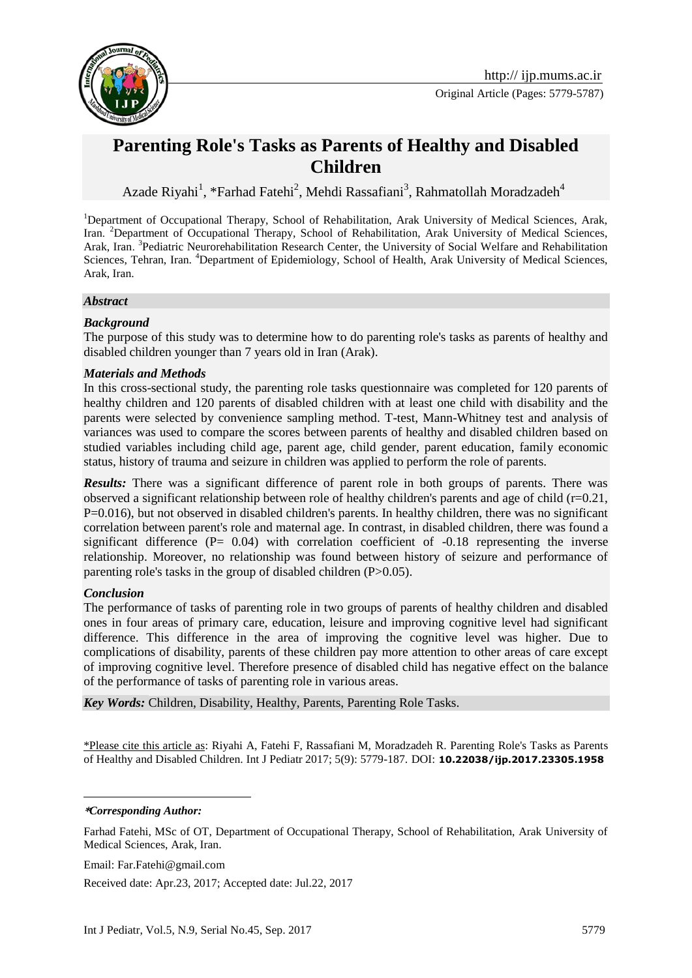

# **Parenting Role's Tasks as Parents of Healthy and Disabled Children**

Azade Riyahi<sup>1</sup>, \*Farhad Fatehi<sup>2</sup>, Mehdi Rassafiani<sup>3</sup>, Rahmatollah Moradzadeh<sup>4</sup>

<sup>1</sup>Department of Occupational Therapy, School of Rehabilitation, Arak University of Medical Sciences, Arak, Iran. <sup>2</sup>Department of Occupational Therapy, School of Rehabilitation, Arak University of Medical Sciences, Arak, Iran. <sup>3</sup>Pediatric Neurorehabilitation Research Center, the University of Social Welfare and Rehabilitation Sciences, Tehran, Iran. <sup>4</sup>Department of Epidemiology, School of Health, Arak University of Medical Sciences, Arak, Iran.

#### *Abstract*

#### *Background*

The purpose of this study was to determine how to do parenting role's tasks as parents of healthy and disabled children younger than 7 years old in Iran (Arak).

#### *Materials and Methods*

In this cross-sectional study, the parenting role tasks questionnaire was completed for 120 parents of healthy children and 120 parents of disabled children with at least one child with disability and the parents were selected by convenience sampling method. T-test, Mann-Whitney test and analysis of variances was used to compare the scores between parents of healthy and disabled children based on studied variables including child age, parent age, child gender, parent education, family economic status, history of trauma and seizure in children was applied to perform the role of parents.

*Results:* There was a significant difference of parent role in both groups of parents. There was observed a significant relationship between role of healthy children's parents and age of child  $(r=0.21,$ P=0.016), but not observed in disabled children's parents. In healthy children, there was no significant correlation between parent's role and maternal age. In contrast, in disabled children, there was found a significant difference  $(P= 0.04)$  with correlation coefficient of  $-0.18$  representing the inverse relationship. Moreover, no relationship was found between history of seizure and performance of parenting role's tasks in the group of disabled children (P>0.05).

#### *Conclusion*

The performance of tasks of parenting role in two groups of parents of healthy children and disabled ones in four areas of primary care, education, leisure and improving cognitive level had significant difference. This difference in the area of improving the cognitive level was higher. Due to complications of disability, parents of these children pay more attention to other areas of care except of improving cognitive level. Therefore presence of disabled child has negative effect on the balance of the performance of tasks of parenting role in various areas.

*Key Words:* Children, Disability, Healthy, Parents, Parenting Role Tasks.

\*Please cite this article as: Riyahi A, Fatehi F, Rassafiani M, Moradzadeh R. Parenting Role's Tasks as Parents of Healthy and Disabled Children. Int J Pediatr 2017; 5(9): 5779-187. DOI: **10.22038/ijp.2017.23305.1958**

#### **\****Corresponding Author:*

1

Farhad Fatehi, MSc of OT, Department of Occupational Therapy, School of Rehabilitation, Arak University of Medical Sciences, Arak, Iran.

Email: Far.Fatehi@gmail.com

Received date: Apr.23, 2017; Accepted date: Jul.22, 2017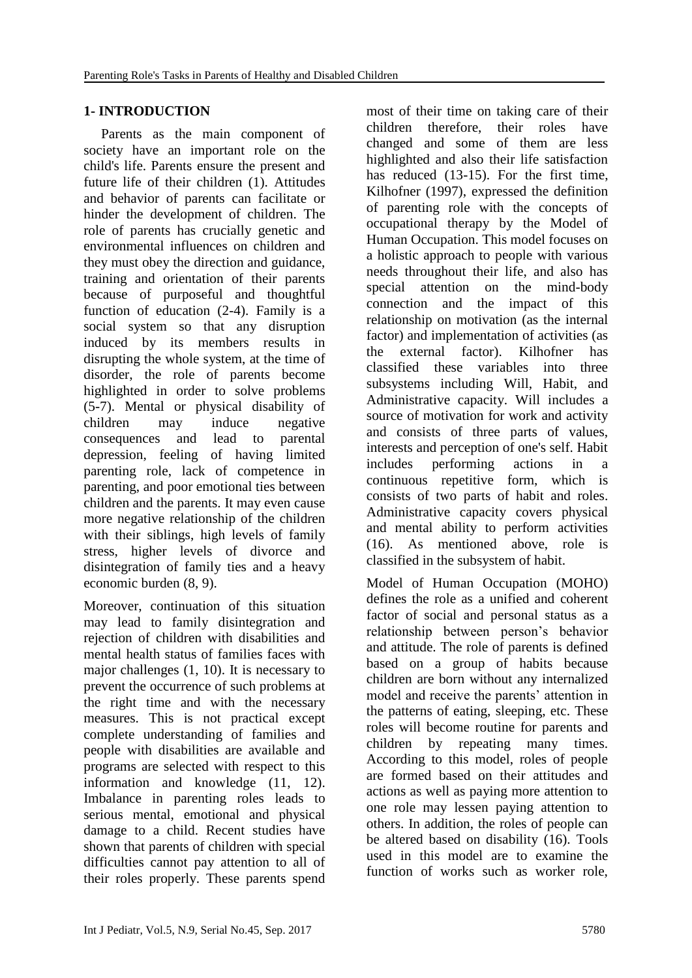# **1- INTRODUCTION**

 Parents as the main component of society have an important role on the child's life. Parents ensure the present and future life of their children [\(1\)](#page-7-0). Attitudes and behavior of parents can facilitate or hinder the development of children. The role of parents has crucially genetic and environmental influences on children and they must obey the direction and guidance, training and orientation of their parents because of purposeful and thoughtful function of education [\(2-4\)](#page-7-1). Family is a social system so that any disruption induced by its members results in disrupting the whole system, at the time of disorder, the role of parents become highlighted in order to solve problems [\(5-7\)](#page-7-2). Mental or physical disability of children may induce negative consequences and lead to parental depression, feeling of having limited parenting role, lack of competence in parenting, and poor emotional ties between children and the parents. It may even cause more negative relationship of the children with their siblings, high levels of family stress, higher levels of divorce and disintegration of family ties and a heavy economic burden [\(8,](#page-8-0) [9\)](#page-8-1).

Moreover, continuation of this situation may lead to family disintegration and rejection of children with disabilities and mental health status of families faces with major challenges [\(1,](#page-7-0) [10\)](#page-8-2). It is necessary to prevent the occurrence of such problems at the right time and with the necessary measures. This is not practical except complete understanding of families and people with disabilities are available and programs are selected with respect to this information and knowledge [\(11,](#page-8-3) [12\)](#page-8-4). Imbalance in parenting roles leads to serious mental, emotional and physical damage to a child. Recent studies have shown that parents of children with special difficulties cannot pay attention to all of their roles properly. These parents spend most of their time on taking care of their children therefore, their roles have changed and some of them are less highlighted and also their life satisfaction has reduced [\(13-15\)](#page-8-5). For the first time, Kilhofner (1997), expressed the definition of parenting role with the concepts of occupational therapy by the Model of Human Occupation. This model focuses on a holistic approach to people with various needs throughout their life, and also has special attention on the mind-body connection and the impact of this relationship on motivation (as the internal factor) and implementation of activities (as the external factor). Kilhofner has classified these variables into three subsystems including Will, Habit, and Administrative capacity. Will includes a source of motivation for work and activity and consists of three parts of values, interests and perception of one's self. Habit includes performing actions in a continuous repetitive form, which is consists of two parts of habit and roles. Administrative capacity covers physical and mental ability to perform activities [\(16\)](#page-8-6). As mentioned above, role is classified in the subsystem of habit.

Model of Human Occupation (MOHO) defines the role as a unified and coherent factor of social and personal status as a relationship between person's behavior and attitude. The role of parents is defined based on a group of habits because children are born without any internalized model and receive the parents' attention in the patterns of eating, sleeping, etc. These roles will become routine for parents and children by repeating many times. According to this model, roles of people are formed based on their attitudes and actions as well as paying more attention to one role may lessen paying attention to others. In addition, the roles of people can be altered based on disability [\(16\)](#page-8-6). Tools used in this model are to examine the function of works such as worker role,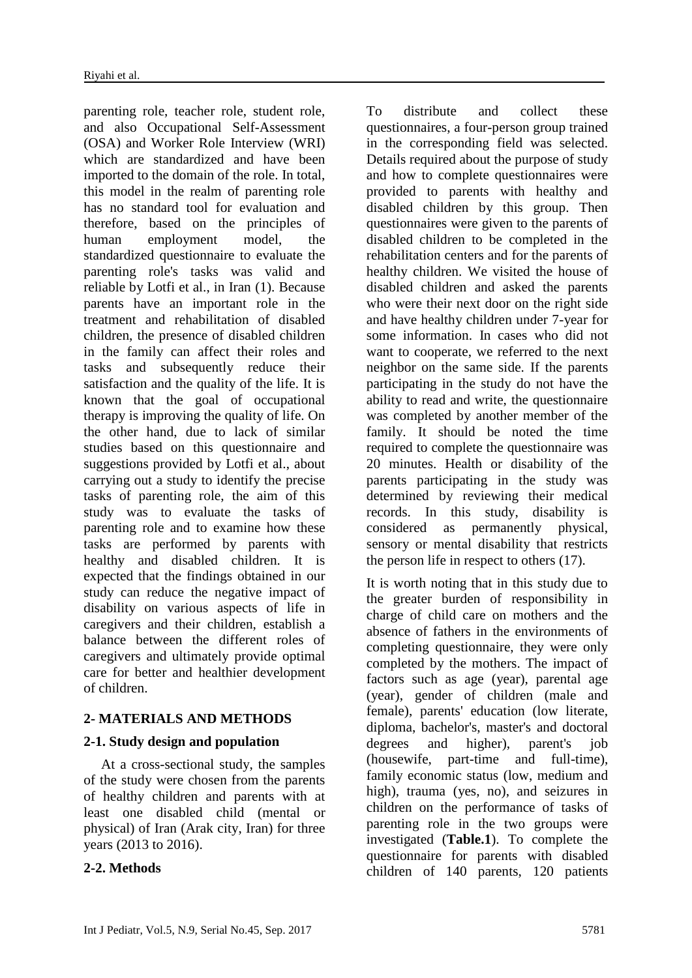parenting role, teacher role, student role, and also Occupational Self-Assessment (OSA) and Worker Role Interview (WRI) which are standardized and have been imported to the domain of the role. In total, this model in the realm of parenting role has no standard tool for evaluation and therefore, based on the principles of human employment model, the standardized questionnaire to evaluate the parenting role's tasks was valid and reliable by Lotfi et al., in Iran [\(1\)](#page-7-0). Because parents have an important role in the treatment and rehabilitation of disabled children, the presence of disabled children in the family can affect their roles and tasks and subsequently reduce their satisfaction and the quality of the life. It is known that the goal of occupational therapy is improving the quality of life. On the other hand, due to lack of similar studies based on this questionnaire and suggestions provided by Lotfi et al., about carrying out a study to identify the precise tasks of parenting role, the aim of this study was to evaluate the tasks of parenting role and to examine how these tasks are performed by parents with healthy and disabled children. It is expected that the findings obtained in our study can reduce the negative impact of disability on various aspects of life in caregivers and their children, establish a balance between the different roles of caregivers and ultimately provide optimal care for better and healthier development of children.

### **2- MATERIALS AND METHODS**

### **2-1. Study design and population**

 At a cross-sectional study, the samples of the study were chosen from the parents of healthy children and parents with at least one disabled child (mental or physical) of Iran (Arak city, Iran) for three years (2013 to 2016).

### **2-2. Methods**

To distribute and collect these questionnaires, a four-person group trained in the corresponding field was selected. Details required about the purpose of study and how to complete questionnaires were provided to parents with healthy and disabled children by this group. Then questionnaires were given to the parents of disabled children to be completed in the rehabilitation centers and for the parents of healthy children. We visited the house of disabled children and asked the parents who were their next door on the right side and have healthy children under 7-year for some information. In cases who did not want to cooperate, we referred to the next neighbor on the same side. If the parents participating in the study do not have the ability to read and write, the questionnaire was completed by another member of the family. It should be noted the time required to complete the questionnaire was 20 minutes. Health or disability of the parents participating in the study was determined by reviewing their medical records. In this study, disability is considered as permanently physical, sensory or mental disability that restricts the person life in respect to others [\(17\)](#page-8-7).

It is worth noting that in this study due to the greater burden of responsibility in charge of child care on mothers and the absence of fathers in the environments of completing questionnaire, they were only completed by the mothers. The impact of factors such as age (year), parental age (year), gender of children (male and female), parents' education (low literate, diploma, bachelor's, master's and doctoral degrees and higher), parent's job (housewife, part-time and full-time), family economic status (low, medium and high), trauma (yes, no), and seizures in children on the performance of tasks of parenting role in the two groups were investigated (**Table.1**). To complete the questionnaire for parents with disabled children of 140 parents, 120 patients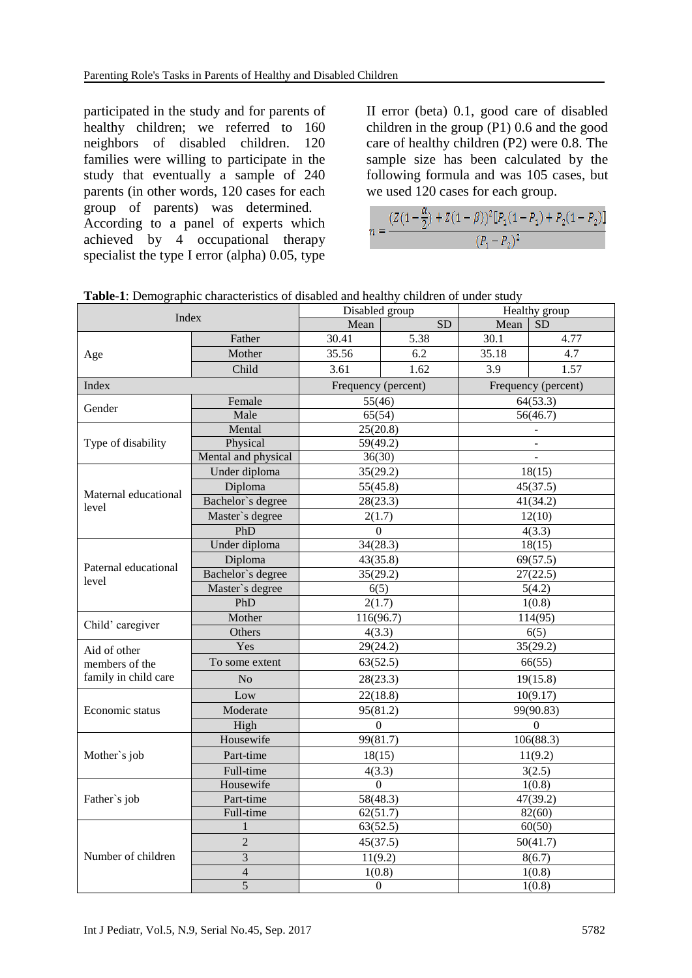participated in the study and for parents of healthy children; we referred to 160 neighbors of disabled children. 120 families were willing to participate in the study that eventually a sample of 240 parents (in other words, 120 cases for each group of parents) was determined. According to a panel of experts which achieved by 4 occupational therapy specialist the type I error (alpha) 0.05, type

II error (beta) 0.1, good care of disabled children in the group (P1) 0.6 and the good care of healthy children (P2) were 0.8. The sample size has been calculated by the following formula and was 105 cases, but we used 120 cases for each group.

$$
c = \frac{(Z(1 - \frac{\alpha}{2}) + Z(1 - \beta))^2 [P_1(1 - P_1) + P_2(1 - P_2)]}{(P_1 - P_2)^2}
$$

| <b>Table-1:</b> Demographic characteristics of disabled and healthy children of under study |                |         |
|---------------------------------------------------------------------------------------------|----------------|---------|
|                                                                                             | Disabled group | Healthy |

| Index                         |                         | Disabled group             |                  | Healthy group       |        |  |
|-------------------------------|-------------------------|----------------------------|------------------|---------------------|--------|--|
|                               |                         | Mean                       | $\overline{SD}$  | Mean                | SD     |  |
|                               | Father                  | 30.41                      | 5.38             | 30.1                | 4.77   |  |
| Age                           | Mother                  | 35.56                      | 6.2              | 35.18               | 4.7    |  |
|                               | Child                   | 3.61                       | 1.62             | 3.9                 | 1.57   |  |
| Index                         |                         | Frequency (percent)        |                  | Frequency (percent) |        |  |
| Gender                        | Female                  | 55(46)                     |                  | 64(53.3)            |        |  |
|                               | Male                    | 65(54)                     |                  | 56(46.7)            |        |  |
| Type of disability            | Mental                  | 25(20.8)                   |                  |                     |        |  |
|                               | Physical                | 59(49.2)                   |                  | $\overline{a}$      |        |  |
|                               | Mental and physical     | 36(30)                     |                  |                     |        |  |
|                               | Under diploma           | 35(29.2)                   |                  | 18(15)              |        |  |
| Maternal educational<br>level | Diploma                 | 55(45.8)                   |                  | 45(37.5)            |        |  |
|                               | Bachelor's degree       | 28(23.3)                   |                  | 41(34.2)            |        |  |
|                               | Master's degree         | 2(1.7)                     |                  | 12(10)              |        |  |
|                               | PhD                     | $\Omega$                   |                  | 4(3.3)              |        |  |
|                               | Under diploma           | 34(28.3)                   |                  | 18(15)              |        |  |
|                               | Diploma                 | 43(35.8)                   |                  | 69(57.5)            |        |  |
| Paternal educational<br>level | Bachelor's degree       | 35(29.2)                   |                  | 27(22.5)            |        |  |
|                               | Master's degree         | 6(5)                       |                  | 5(4.2)              |        |  |
|                               | PhD                     | 2(1.7)                     |                  | 1(0.8)              |        |  |
| Child' caregiver              | Mother                  | 116(96.7)                  |                  | 114(95)             |        |  |
|                               | Others                  | 4(3.3)                     |                  | 6(5)                |        |  |
| Aid of other                  | Yes                     | 29(24.2)                   |                  | 35(29.2)            |        |  |
| members of the                | To some extent          | 63(52.5)                   |                  | 66(55)              |        |  |
| family in child care          | N <sub>o</sub>          | 28(23.3)                   |                  | 19(15.8)            |        |  |
| Economic status               | Low                     | 22(18.8)                   |                  | 10(9.17)            |        |  |
|                               | Moderate                | 95(81.2)                   |                  | 99(90.83)           |        |  |
|                               | High                    | $\Omega$                   |                  | $\Omega$            |        |  |
| Mother's job                  | Housewife               | 99(81.7)                   |                  | 106(88.3)           |        |  |
|                               | Part-time               | 18(15)                     |                  | 11(9.2)             |        |  |
|                               | Full-time               | 4(3.3)                     |                  | 3(2.5)              |        |  |
| Father's job                  | Housewife               | $\Omega$                   |                  | 1(0.8)              |        |  |
|                               | Part-time               | 58(48.3)<br>47(39.2)       |                  |                     |        |  |
|                               | Full-time               | 62(51.7)<br>82(60)         |                  |                     |        |  |
|                               | 1                       | 63(52.5)                   |                  | 60(50)              |        |  |
|                               | $\overline{c}$          | 45(37.5)                   |                  | 50(41.7)            |        |  |
| Number of children            | 3                       |                            | 11(9.2)          |                     | 8(6.7) |  |
|                               | $\overline{\mathbf{4}}$ |                            | 1(0.8)<br>1(0.8) |                     |        |  |
|                               | 5                       | $\boldsymbol{0}$<br>1(0.8) |                  |                     |        |  |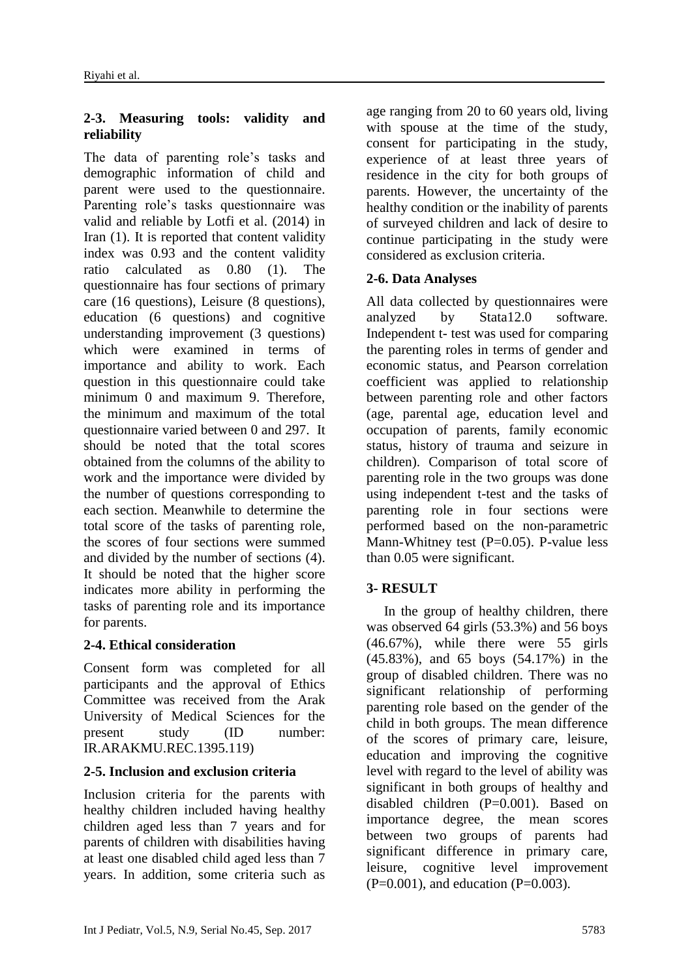### **2-3. Measuring tools: validity and reliability**

The data of parenting role's tasks and demographic information of child and parent were used to the questionnaire. Parenting role's tasks questionnaire was valid and reliable by Lotfi et al. (2014) in Iran [\(1\)](#page-7-0). It is reported that content validity index was 0.93 and the content validity ratio calculated as 0.80 [\(1\)](#page-7-0). The questionnaire has four sections of primary care (16 questions), Leisure (8 questions), education (6 questions) and cognitive understanding improvement (3 questions) which were examined in terms of importance and ability to work. Each question in this questionnaire could take minimum 0 and maximum 9. Therefore, the minimum and maximum of the total questionnaire varied between 0 and 297. It should be noted that the total scores obtained from the columns of the ability to work and the importance were divided by the number of questions corresponding to each section. Meanwhile to determine the total score of the tasks of parenting role, the scores of four sections were summed and divided by the number of sections [\(4\)](#page-7-3). It should be noted that the higher score indicates more ability in performing the tasks of parenting role and its importance for parents.

### **2-4. Ethical consideration**

Consent form was completed for all participants and the approval of Ethics Committee was received from the Arak University of Medical Sciences for the present study (ID number: IR.ARAKMU.REC.1395.119)

# **2-5. Inclusion and exclusion criteria**

Inclusion criteria for the parents with healthy children included having healthy children aged less than 7 years and for parents of children with disabilities having at least one disabled child aged less than 7 years. In addition, some criteria such as

age ranging from 20 to 60 years old, living with spouse at the time of the study, consent for participating in the study, experience of at least three years of residence in the city for both groups of parents. However, the uncertainty of the healthy condition or the inability of parents of surveyed children and lack of desire to continue participating in the study were considered as exclusion criteria.

### **2-6. Data Analyses**

All data collected by questionnaires were analyzed by Stata12.0 software. Independent t- test was used for comparing the parenting roles in terms of gender and economic status, and Pearson correlation coefficient was applied to relationship between parenting role and other factors (age, parental age, education level and occupation of parents, family economic status, history of trauma and seizure in children). Comparison of total score of parenting role in the two groups was done using independent t-test and the tasks of parenting role in four sections were performed based on the non-parametric Mann-Whitney test  $(P=0.05)$ . P-value less than 0.05 were significant.

# **3- RESULT**

 In the group of healthy children, there was observed 64 girls (53.3%) and 56 boys (46.67%), while there were 55 girls (45.83%), and 65 boys (54.17%) in the group of disabled children. There was no significant relationship of performing parenting role based on the gender of the child in both groups. The mean difference of the scores of primary care, leisure, education and improving the cognitive level with regard to the level of ability was significant in both groups of healthy and disabled children (P=0.001). Based on importance degree, the mean scores between two groups of parents had significant difference in primary care, leisure, cognitive level improvement  $(P=0.001)$ , and education  $(P=0.003)$ .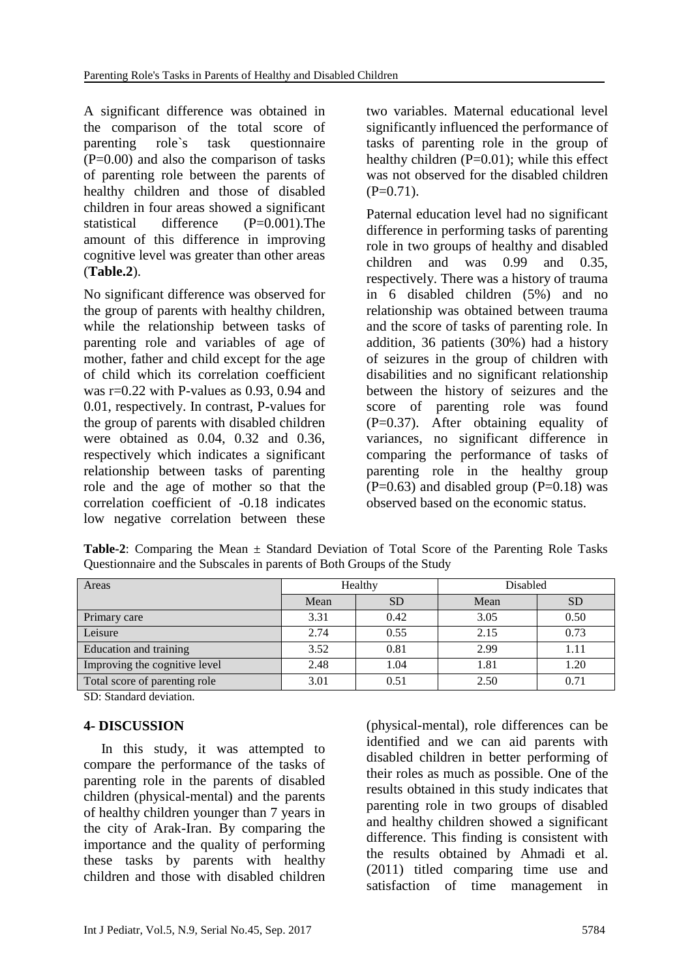A significant difference was obtained in the comparison of the total score of parenting role`s task questionnaire  $(P=0.00)$  and also the comparison of tasks of parenting role between the parents of healthy children and those of disabled children in four areas showed a significant statistical difference (P=0.001).The amount of this difference in improving cognitive level was greater than other areas (**Table.2**).

No significant difference was observed for the group of parents with healthy children, while the relationship between tasks of parenting role and variables of age of mother, father and child except for the age of child which its correlation coefficient was  $r=0.22$  with P-values as 0.93, 0.94 and 0.01, respectively. In contrast, P-values for the group of parents with disabled children were obtained as 0.04, 0.32 and 0.36, respectively which indicates a significant relationship between tasks of parenting role and the age of mother so that the correlation coefficient of -0.18 indicates low negative correlation between these two variables. Maternal educational level significantly influenced the performance of tasks of parenting role in the group of healthy children  $(P=0.01)$ ; while this effect was not observed for the disabled children  $(P=0.71)$ .

Paternal education level had no significant difference in performing tasks of parenting role in two groups of healthy and disabled children and was 0.99 and 0.35, respectively. There was a history of trauma in 6 disabled children (5%) and no relationship was obtained between trauma and the score of tasks of parenting role. In addition, 36 patients (30%) had a history of seizures in the group of children with disabilities and no significant relationship between the history of seizures and the score of parenting role was found (P=0.37). After obtaining equality of variances, no significant difference in comparing the performance of tasks of parenting role in the healthy group  $(P=0.63)$  and disabled group  $(P=0.18)$  was observed based on the economic status.

| Areas                         | Healthy |           | Disabled |           |
|-------------------------------|---------|-----------|----------|-----------|
|                               | Mean    | <b>SD</b> | Mean     | <b>SD</b> |
| Primary care                  | 3.31    | 0.42      | 3.05     | 0.50      |
| Leisure                       | 2.74    | 0.55      | 2.15     | 0.73      |
| Education and training        | 3.52    | 0.81      | 2.99     | 1.11      |
| Improving the cognitive level | 2.48    | 1.04      | 1.81     | 1.20      |
| Total score of parenting role | 3.01    | 0.51      | 2.50     | 0.71      |

**Table-2**: Comparing the Mean ± Standard Deviation of Total Score of the Parenting Role Tasks Questionnaire and the Subscales in parents of Both Groups of the Study

SD: Standard deviation.

# **4- DISCUSSION**

 In this study, it was attempted to compare the performance of the tasks of parenting role in the parents of disabled children (physical-mental) and the parents of healthy children younger than 7 years in the city of Arak-Iran. By comparing the importance and the quality of performing these tasks by parents with healthy children and those with disabled children (physical-mental), role differences can be identified and we can aid parents with disabled children in better performing of their roles as much as possible. One of the results obtained in this study indicates that parenting role in two groups of disabled and healthy children showed a significant difference. This finding is consistent with the results obtained by Ahmadi et al. (2011) titled comparing time use and satisfaction of time management in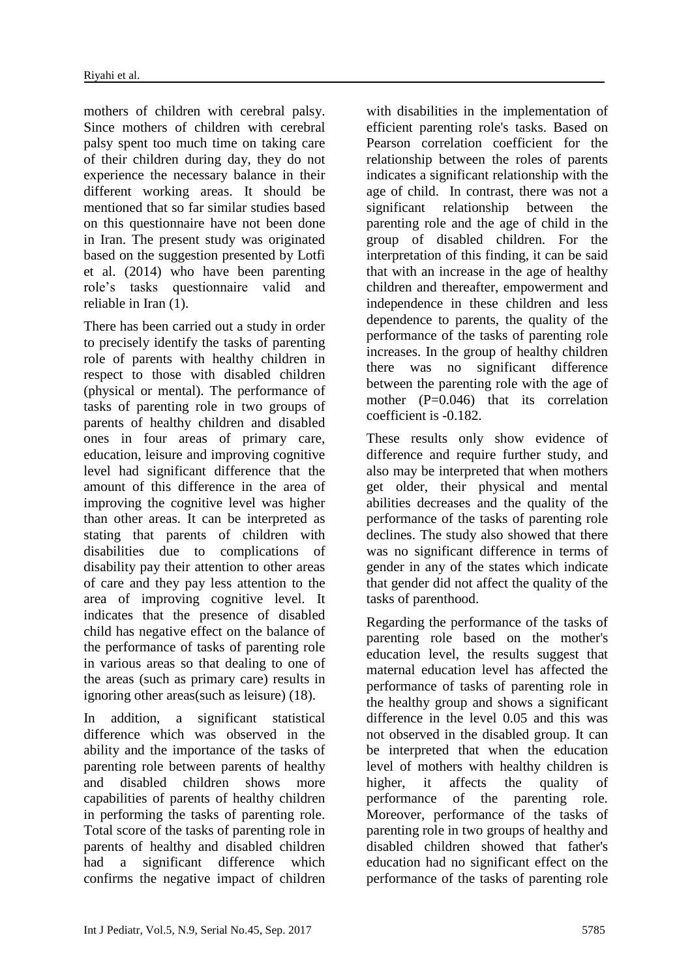mothers of children with cerebral palsy. Since mothers of children with cerebral palsy spent too much time on taking care of their children during day, they do not experience the necessary balance in their different working areas. It should be mentioned that so far similar studies based on this questionnaire have not been done in Iran. The present study was originated based on the suggestion presented by Lotfi et al. (2014) who have been parenting role's tasks questionnaire valid and reliable in Iran [\(1\)](#page-7-0).

There has been carried out a study in order to precisely identify the tasks of parenting role of parents with healthy children in respect to those with disabled children (physical or mental). The performance of tasks of parenting role in two groups of parents of healthy children and disabled ones in four areas of primary care, education, leisure and improving cognitive level had significant difference that the amount of this difference in the area of improving the cognitive level was higher than other areas. It can be interpreted as stating that parents of children with disabilities due to complications of disability pay their attention to other areas of care and they pay less attention to the area of improving cognitive level. It indicates that the presence of disabled child has negative effect on the balance of the performance of tasks of parenting role in various areas so that dealing to one of the areas (such as primary care) results in ignoring other areas(such as leisure) [\(18\)](#page-8-8).

In addition, a significant statistical difference which was observed in the ability and the importance of the tasks of parenting role between parents of healthy and disabled children shows more capabilities of parents of healthy children in performing the tasks of parenting role. Total score of the tasks of parenting role in parents of healthy and disabled children had a significant difference which confirms the negative impact of children with disabilities in the implementation of efficient parenting role's tasks. Based on Pearson correlation coefficient for the relationship between the roles of parents indicates a significant relationship with the age of child. In contrast, there was not a significant relationship between the parenting role and the age of child in the group of disabled children. For the interpretation of this finding, it can be said that with an increase in the age of healthy children and thereafter, empowerment and independence in these children and less dependence to parents, the quality of the performance of the tasks of parenting role increases. In the group of healthy children there was no significant difference between the parenting role with the age of mother (P=0.046) that its correlation coefficient is -0.182.

These results only show evidence of difference and require further study, and also may be interpreted that when mothers get older, their physical and mental abilities decreases and the quality of the performance of the tasks of parenting role declines. The study also showed that there was no significant difference in terms of gender in any of the states which indicate that gender did not affect the quality of the tasks of parenthood.

Regarding the performance of the tasks of parenting role based on the mother's education level, the results suggest that maternal education level has affected the performance of tasks of parenting role in the healthy group and shows a significant difference in the level 0.05 and this was not observed in the disabled group. It can be interpreted that when the education level of mothers with healthy children is higher, it affects the quality of performance of the parenting role. Moreover, performance of the tasks of parenting role in two groups of healthy and disabled children showed that father's education had no significant effect on the performance of the tasks of parenting role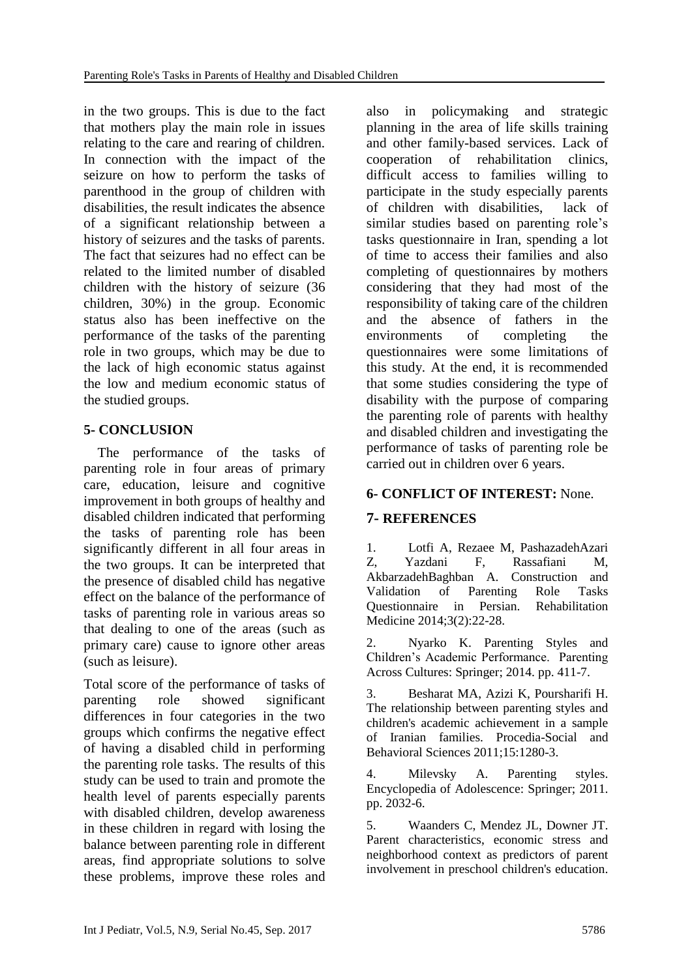in the two groups. This is due to the fact that mothers play the main role in issues relating to the care and rearing of children. In connection with the impact of the seizure on how to perform the tasks of parenthood in the group of children with disabilities, the result indicates the absence of a significant relationship between a history of seizures and the tasks of parents. The fact that seizures had no effect can be related to the limited number of disabled children with the history of seizure (36 children, 30%) in the group. Economic status also has been ineffective on the performance of the tasks of the parenting role in two groups, which may be due to the lack of high economic status against the low and medium economic status of the studied groups.

# **5- CONCLUSION**

 The performance of the tasks of parenting role in four areas of primary care, education, leisure and cognitive improvement in both groups of healthy and disabled children indicated that performing the tasks of parenting role has been significantly different in all four areas in the two groups. It can be interpreted that the presence of disabled child has negative effect on the balance of the performance of tasks of parenting role in various areas so that dealing to one of the areas (such as primary care) cause to ignore other areas (such as leisure).

Total score of the performance of tasks of parenting role showed significant differences in four categories in the two groups which confirms the negative effect of having a disabled child in performing the parenting role tasks. The results of this study can be used to train and promote the health level of parents especially parents with disabled children, develop awareness in these children in regard with losing the balance between parenting role in different areas, find appropriate solutions to solve these problems, improve these roles and

also in policymaking and strategic planning in the area of life skills training and other family-based services. Lack of cooperation of rehabilitation clinics, difficult access to families willing to participate in the study especially parents of children with disabilities, lack of similar studies based on parenting role's tasks questionnaire in Iran, spending a lot of time to access their families and also completing of questionnaires by mothers considering that they had most of the responsibility of taking care of the children and the absence of fathers in the environments of completing the questionnaires were some limitations of this study. At the end, it is recommended that some studies considering the type of disability with the purpose of comparing the parenting role of parents with healthy and disabled children and investigating the performance of tasks of parenting role be carried out in children over 6 years.

# **6- CONFLICT OF INTEREST:** None.

# **7- REFERENCES**

<span id="page-7-0"></span>1. Lotfi A, Rezaee M, PashazadehAzari Z, Yazdani F, Rassafiani M, AkbarzadehBaghban A. Construction and Validation of Parenting Role Tasks Questionnaire in Persian. Rehabilitation Medicine 2014;3(2):22-28.

<span id="page-7-1"></span>2. Nyarko K. Parenting Styles and Children's Academic Performance. Parenting Across Cultures: Springer; 2014. pp. 411-7.

3. Besharat MA, Azizi K, Poursharifi H. The relationship between parenting styles and children's academic achievement in a sample of Iranian families. Procedia-Social and Behavioral Sciences 2011;15:1280-3.

<span id="page-7-3"></span>4. Milevsky A. Parenting styles. Encyclopedia of Adolescence: Springer; 2011. pp. 2032-6.

<span id="page-7-2"></span>5. Waanders C, Mendez JL, Downer JT. Parent characteristics, economic stress and neighborhood context as predictors of parent involvement in preschool children's education.